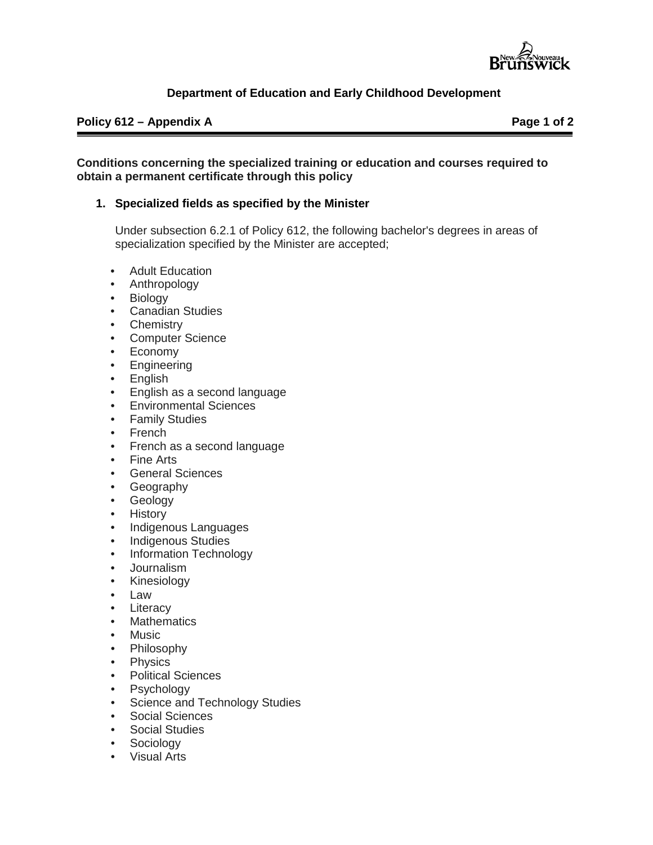

## **Department of Education and Early Childhood Development**

#### **Policy 612 – Appendix A Page 1 of 2**

#### **Conditions concerning the specialized training or education and courses required to obtain a permanent certificate through this policy**

#### **1. Specialized fields as specified by the Minister**

Under subsection 6.2.1 of Policy 612, the following bachelor's degrees in areas of specialization specified by the Minister are accepted;

- **Adult Education**
- Anthropology
- Biology
- Canadian Studies
- Chemistry
- Computer Science
- Economy
- Engineering
- English
- English as a second language
- Environmental Sciences
- Family Studies
- French
- French as a second language
- Fine Arts
- General Sciences
- Geography
- Geology
- History
- Indigenous Languages
- Indigenous Studies
- Information Technology
- Journalism
- Kinesiology
- Law
- **Literacy**
- Mathematics
- **Music**
- Philosophy
- Physics
- Political Sciences
- Psychology
- Science and Technology Studies
- Social Sciences
- **Social Studies**
- **Sociology**
- Visual Arts